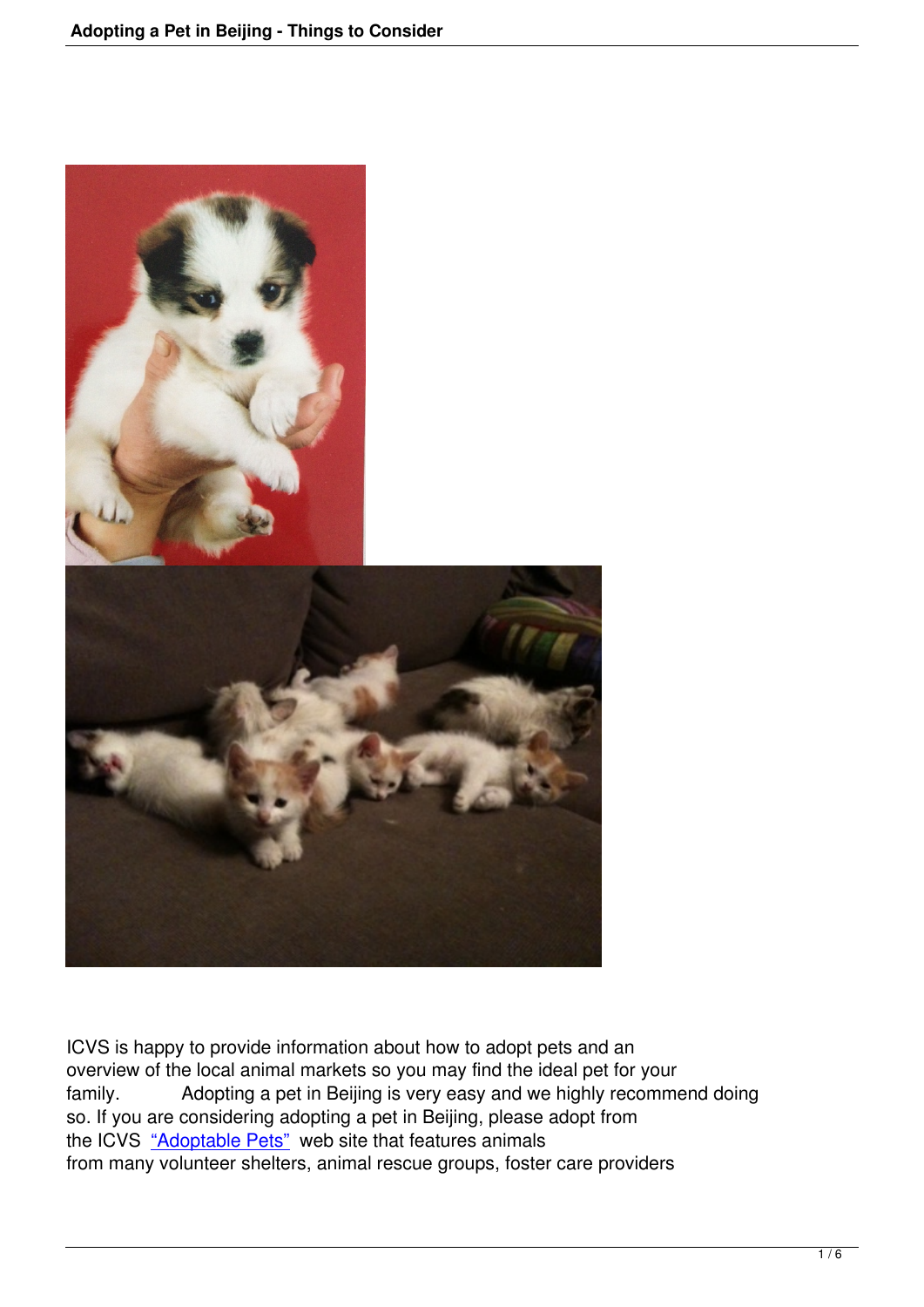

ICVS is happy to provide information about how to adopt pets and an overview of the local animal markets so you may find the ideal pet for your family. Adopting a pet in Beijing is very easy and we highly recommend doing so. If you are considering adopting a pet in Beijing, please adopt from the ICVS "Adoptable Pets" web site that features animals from many volunteer shelters, animal rescue groups, foster care providers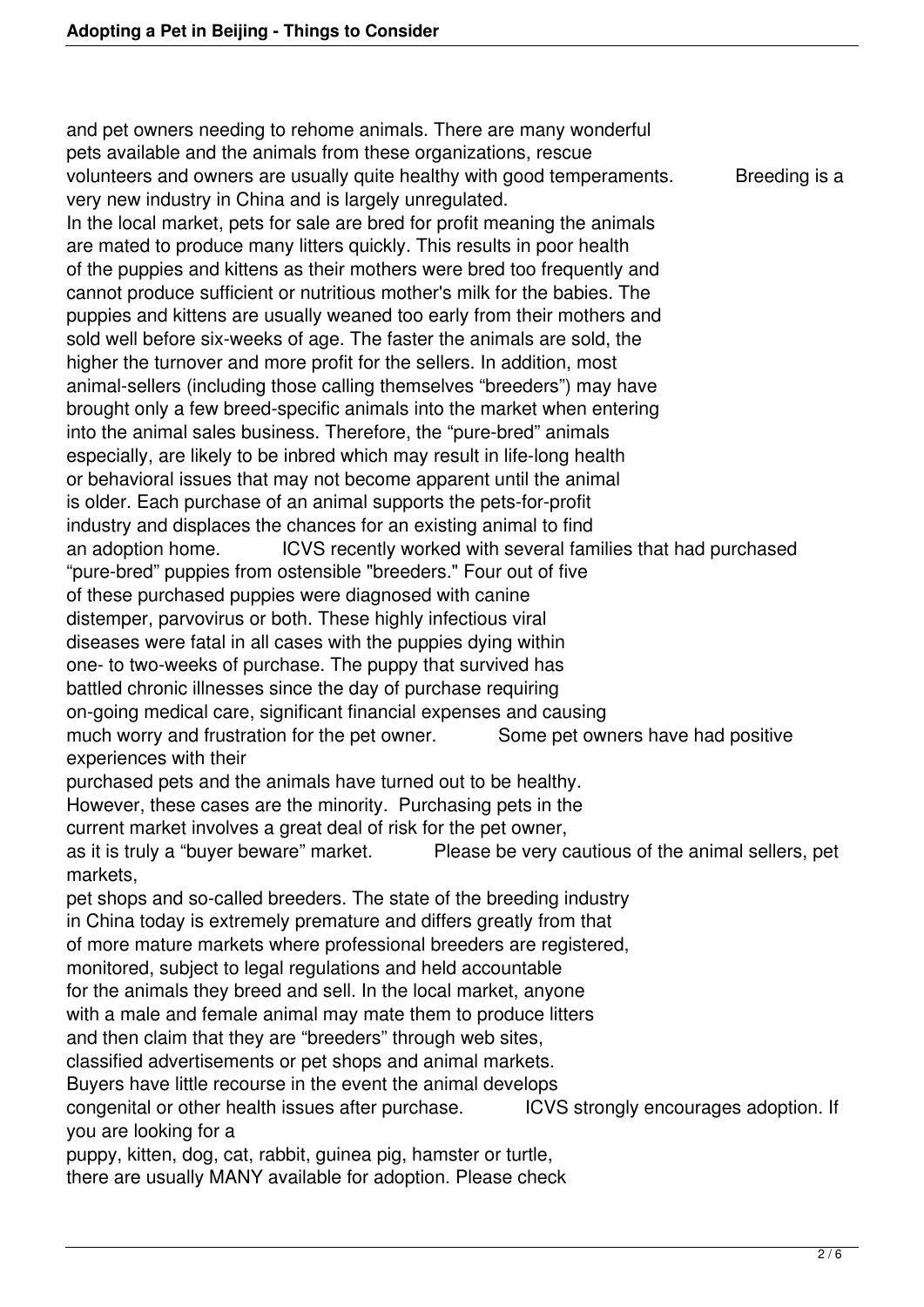and pet owners needing to rehome animals. There are many wonderful pets available and the animals from these organizations, rescue volunteers and owners are usually quite healthy with good temperaments. Breeding is a very new industry in China and is largely unregulated. In the local market, pets for sale are bred for profit meaning the animals are mated to produce many litters quickly. This results in poor health of the puppies and kittens as their mothers were bred too frequently and cannot produce sufficient or nutritious mother's milk for the babies. The puppies and kittens are usually weaned too early from their mothers and sold well before six-weeks of age. The faster the animals are sold, the higher the turnover and more profit for the sellers. In addition, most animal-sellers (including those calling themselves "breeders") may have brought only a few breed-specific animals into the market when entering into the animal sales business. Therefore, the "pure-bred" animals especially, are likely to be inbred which may result in life-long health or behavioral issues that may not become apparent until the animal is older. Each purchase of an animal supports the pets-for-profit industry and displaces the chances for an existing animal to find an adoption home. ICVS recently worked with several families that had purchased "pure-bred" puppies from ostensible "breeders." Four out of five of these purchased puppies were diagnosed with canine distemper, parvovirus or both. These highly infectious viral diseases were fatal in all cases with the puppies dying within one- to two-weeks of purchase. The puppy that survived has battled chronic illnesses since the day of purchase requiring on-going medical care, significant financial expenses and causing much worry and frustration for the pet owner. Some pet owners have had positive experiences with their purchased pets and the animals have turned out to be healthy. However, these cases are the minority. Purchasing pets in the current market involves a great deal of risk for the pet owner, as it is truly a "buyer beware" market. Please be very cautious of the animal sellers, pet markets, pet shops and so-called breeders. The state of the breeding industry in China today is extremely premature and differs greatly from that of more mature markets where professional breeders are registered, monitored, subject to legal regulations and held accountable for the animals they breed and sell. In the local market, anyone with a male and female animal may mate them to produce litters and then claim that they are "breeders" through web sites, classified advertisements or pet shops and animal markets. Buyers have little recourse in the event the animal develops congenital or other health issues after purchase. ICVS strongly encourages adoption. If you are looking for a puppy, kitten, dog, cat, rabbit, guinea pig, hamster or turtle, there are usually MANY available for adoption. Please check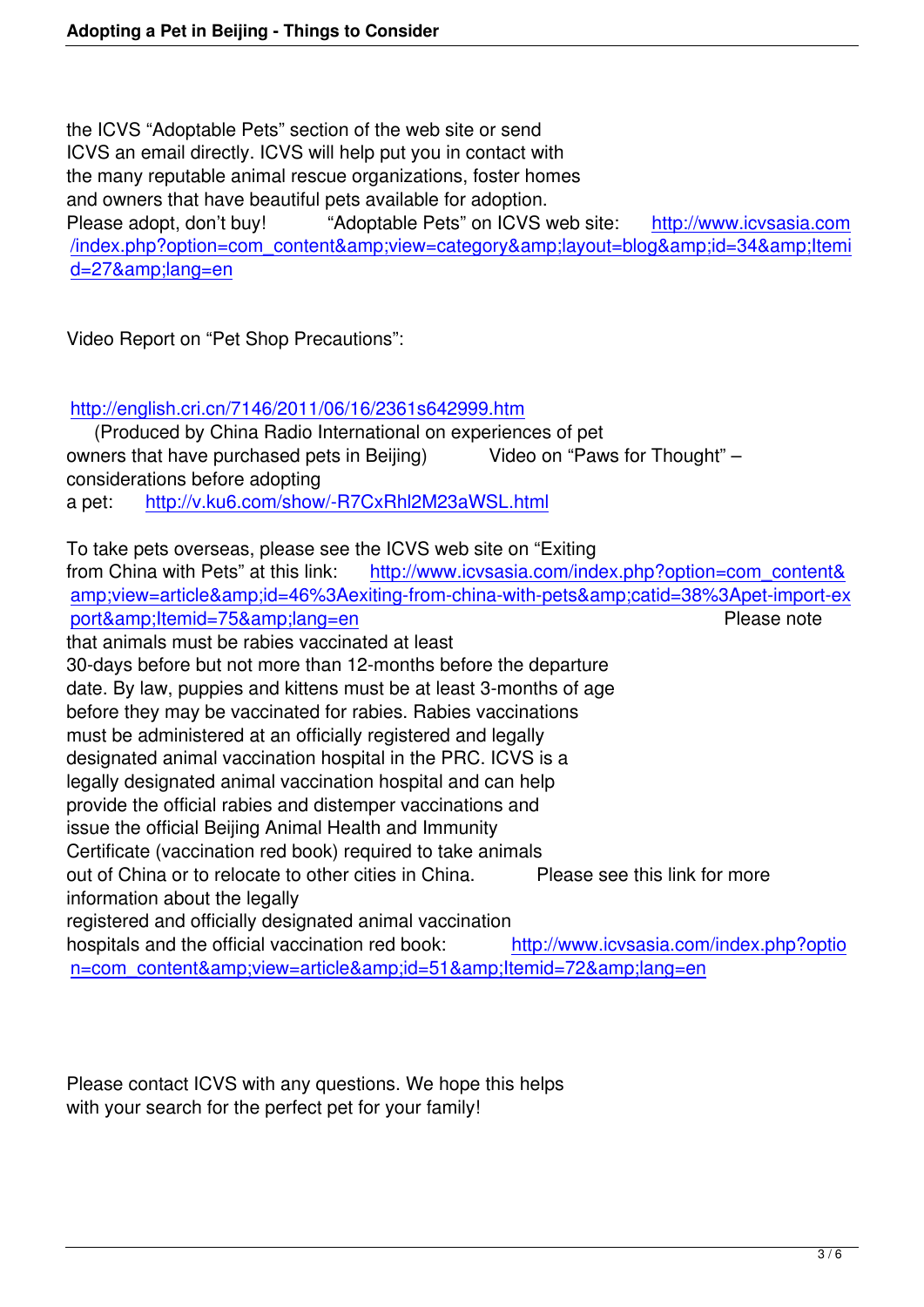the ICVS "Adoptable Pets" section of the web site or send ICVS an email directly. ICVS will help put you in contact with the many reputable animal rescue organizations, foster homes and owners that have beautiful pets available for adoption. Please adopt, don't buy! "Adoptable Pets" on ICVS web site: http://www.icvsasia.com /index.php?option=com\_content&view=category&layout=blog&id=34&Itemi d=27&lang=en

[Video Report on "Pet Shop Precautions":](index.php?option=com_content&view=category&layout=blog&id=34&Itemid=27&lang=en)

http://english.cri.cn/7146/2011/06/16/2361s642999.htm

 (Produced by China Radio International on experiences of pet owners that have purchased pets in Beijing) Video on "Paws for Thought" – [considerations before adopting](http://english.cri.cn/7146/2011/06/16/2361s642999.htm)  a pet: http://v.ku6.com/show/-R7CxRhl2M23aWSL.html

To take pets overseas, please see the ICVS web site on "Exiting from Chi[na with Pets" at this link: http://www.icvsasia.co](http://v.ku6.com/show/-R7CxRhl2M23aWSL.html)m/index.php?option=com\_content& amp;view=article&id=46%3Aexiting-from-china-with-pets&catid=38%3Apet-import-ex port&amp:ltemid=75&amp:lang=en Please note that animals must be rabies vaccinat[ed at least](index.php?option=com_content&view=article&id=46%3Aexiting-from-china-with-pets&catid=38%3Apet-import-export&Itemid=75&lang=en)  [30-days before but not more than 12-months before the departure](index.php?option=com_content&view=article&id=46%3Aexiting-from-china-with-pets&catid=38%3Apet-import-export&Itemid=75&lang=en)  [date. By law, puppies and kittens m](index.php?option=com_content&view=article&id=46%3Aexiting-from-china-with-pets&catid=38%3Apet-import-export&Itemid=75&lang=en)ust be at least 3-months of age before they may be vaccinated for rabies. Rabies vaccinations

must be administered at an officially registered and legally

designated animal vaccination hospital in the PRC. ICVS is a

legally designated animal vaccination hospital and can help provide the official rabies and distemper vaccinations and

issue the official Beijing Animal Health and Immunity

Certificate (vaccination red book) required to take animals

out of China or to relocate to other cities in China. Please see this link for more information about the legally

registered and officially designated animal vaccination

hospitals and the official vaccination red book: http://www.icvsasia.com/index.php?optio n=com\_content&view=article&id=51&ltemid=72&lang=en

Please contact ICVS with any questions. We hope this helps with your search for the perfect pet for your family!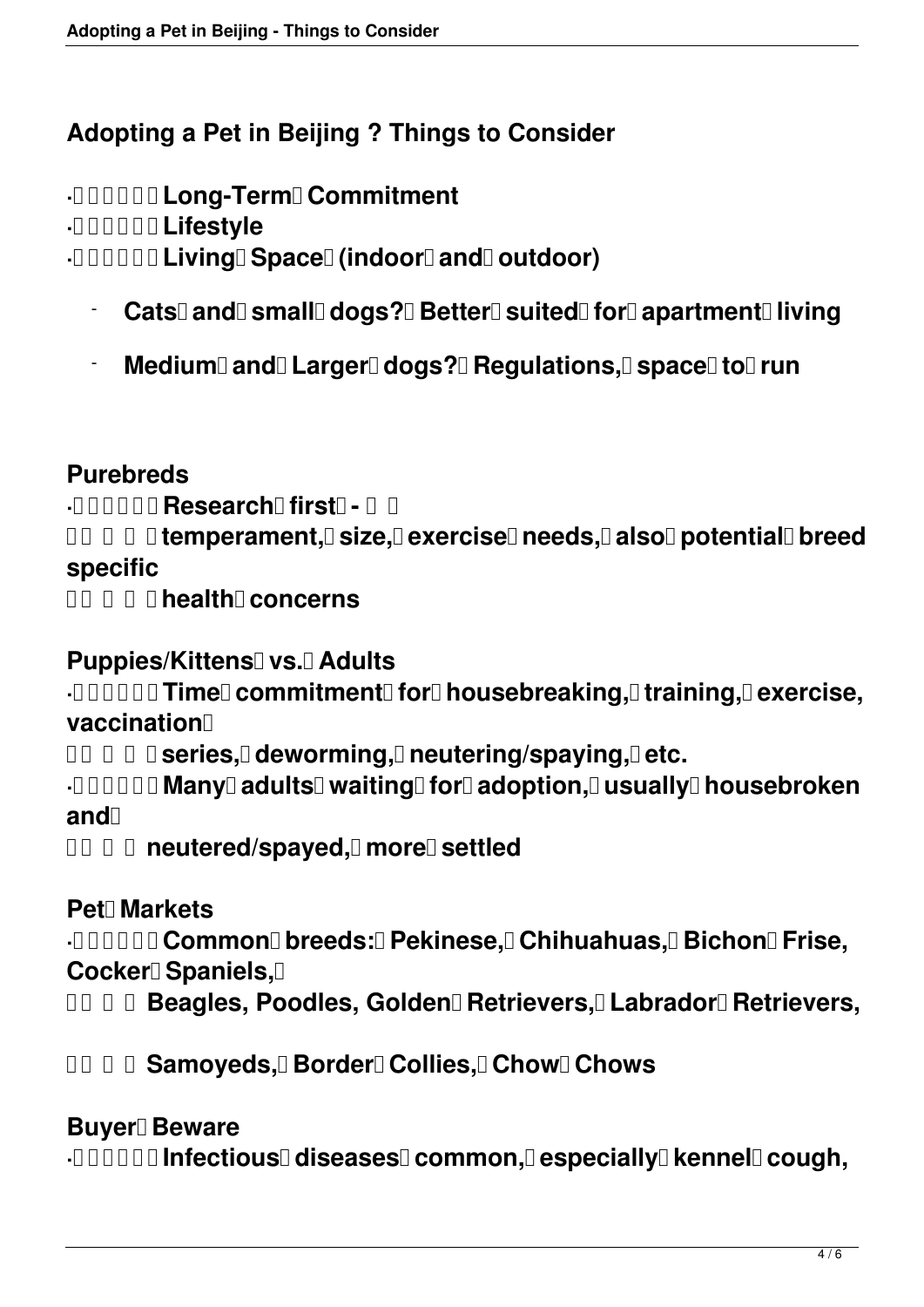## **Adopting a Pet in Beijing ? Things to Consider**

**· Long-Term Commitment**

**· Lifestyle**

**· <b>IIIIIII** Living Space (indoor and outdoor)

- Cats<sup>[]</sup> and small dogs? Better suited for apartment living
- **Medium** and Larger dogs? **Regulations, space to run**

### **Purebreds**

**· <b>Research** first - **Research** 

*ou D D* **temperament, D size, D exercise D needs, D also D potential D breed specific**

**DO D D D health concerns** 

### **Puppies/Kittens I vs. Adults**

**· 00000 Time commitment for house breaking, training, lexercise, vaccination** 

**DE D D series, deworming, D neutering/spaying, D etc.** 

**· <b>INDIE Many adults waiting** for adoption, **usually** house broken and<sup>[]</sup>

*OO D neutered/spayed, DmoreD settled* 

### **Pet Markets**

**· 00000 Common breeds: Pekinese, Chihuahuas, Bichon Frise,** Cocker<sup>[</sup>] Spaniels, []

*ODDD* **<b>Beagles, Poodles, Golden Retrievers, Labrador Retrievers,** 

**DO D Gamoyeds, Border Collies, Chow Chows** 

#### **Buyer** Beware

**·00000 Infectious<sup>[</sup>] diseases<sup>[</sup>] common, <b>Despecially Dkennel Dcough**,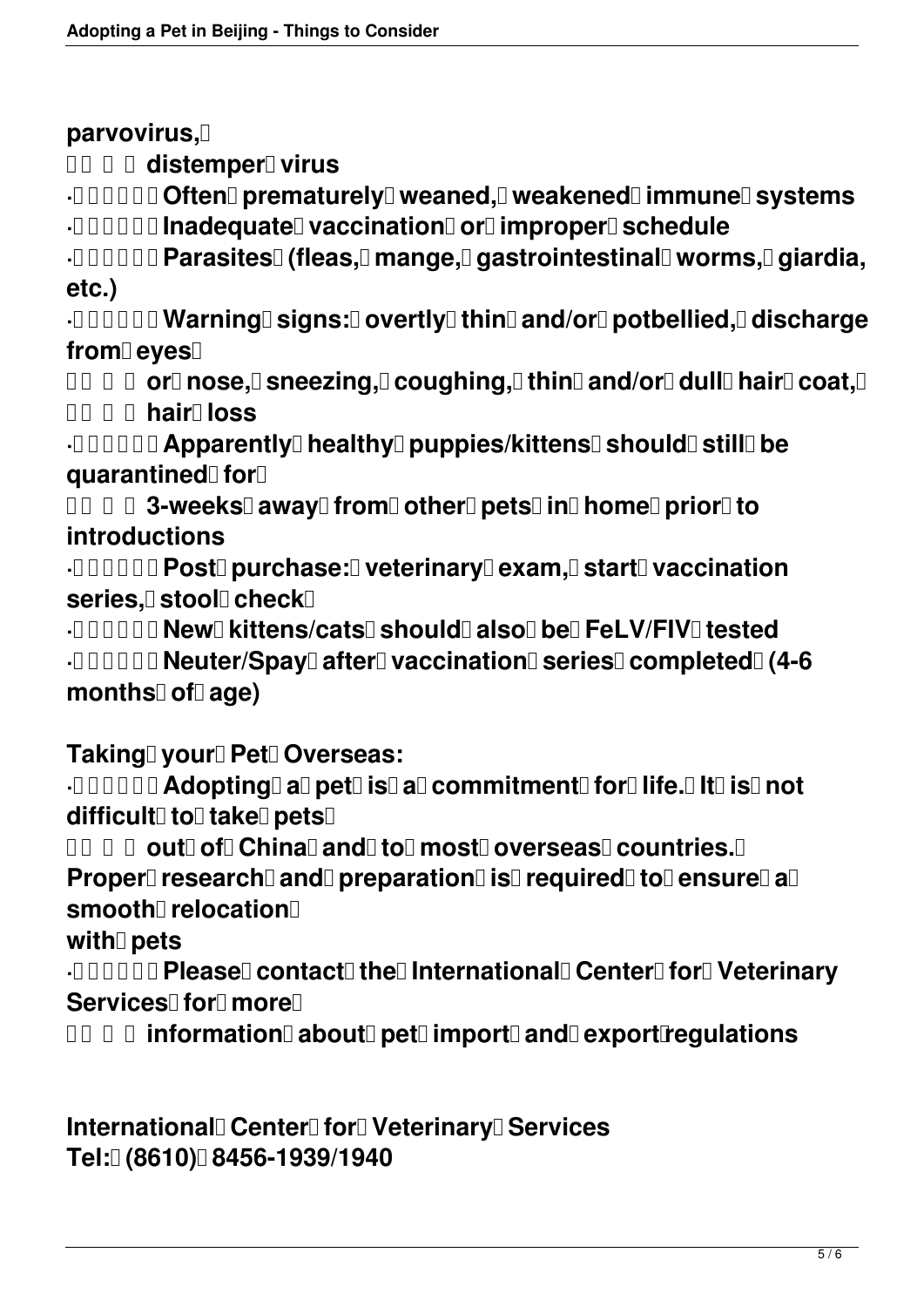**parvovirus,** 

**DO 0 distemper virus** 

**· 00000 Often prematurely weaned, weakened immune systems** 

**· <b>INDIE Inadequate vaccination or improper Schedule** 

**· Parasites (fleas, mange, gastrointestinal worms, giardia, etc.)**

**· 00000 Warning signs: 0 overtly thin and/or potbellied, discharge** from eyes<sup>[]</sup>

**DE D O or nose, Sneezing, Coughing, thin and/or dull hair coat, D hair loss**

**·DOODDI Apparently healthy puppies/kittens Should Still be quarantined for** 

**DO D 3-weeks away from other pets in home prior to introductions**

**· <b>DOOOO Post purchase: veterinary exam, start vaccination series, stool check** 

**· New kittens/cats should also be FeLV/FIV tested · 00000 Neuter/Spay after vaccination Series completed (4-6** months<sup>[]</sup> of age)

**Taking vour Pet Overseas:** 

**·00000 Adopting a pet is a commitment for life. It is not**  $difficult$ <sup> $\Box$ </sup> to  $\Box$  take  $\Box$  pets  $\Box$ 

*OREA* cute of China and to most overseas countries. **Details** 

**Proper research and preparation is required to ensure a** smooth<sup>[1]</sup> relocation<sup>[1]</sup>

with **pets** 

**· 00000 Please contact the International Center For Veterinary** Services<sup>[]</sup> for **more** 

**DE E information about pet import and export regulations** 

**International Center Tor Veterinary Services Tel: (8610) 8456-1939/1940**